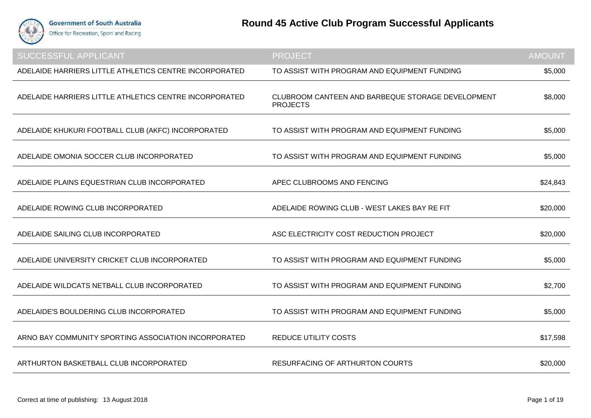

| <b>SUCCESSFUL APPLICANT</b>                            | <b>PROJECT</b>                                                       | <b>AMOUNT</b> |
|--------------------------------------------------------|----------------------------------------------------------------------|---------------|
| ADELAIDE HARRIERS LITTLE ATHLETICS CENTRE INCORPORATED | TO ASSIST WITH PROGRAM AND EQUIPMENT FUNDING                         | \$5,000       |
| ADELAIDE HARRIERS LITTLE ATHLETICS CENTRE INCORPORATED | CLUBROOM CANTEEN AND BARBEQUE STORAGE DEVELOPMENT<br><b>PROJECTS</b> | \$8,000       |
| ADELAIDE KHUKURI FOOTBALL CLUB (AKFC) INCORPORATED     | TO ASSIST WITH PROGRAM AND EQUIPMENT FUNDING                         | \$5,000       |
| ADELAIDE OMONIA SOCCER CLUB INCORPORATED               | TO ASSIST WITH PROGRAM AND EQUIPMENT FUNDING                         | \$5,000       |
| ADELAIDE PLAINS EQUESTRIAN CLUB INCORPORATED           | APEC CLUBROOMS AND FENCING                                           | \$24,843      |
| ADELAIDE ROWING CLUB INCORPORATED                      | ADELAIDE ROWING CLUB - WEST LAKES BAY RE FIT                         | \$20,000      |
| ADELAIDE SAILING CLUB INCORPORATED                     | ASC ELECTRICITY COST REDUCTION PROJECT                               | \$20,000      |
| ADELAIDE UNIVERSITY CRICKET CLUB INCORPORATED          | TO ASSIST WITH PROGRAM AND EQUIPMENT FUNDING                         | \$5,000       |
| ADELAIDE WILDCATS NETBALL CLUB INCORPORATED            | TO ASSIST WITH PROGRAM AND EQUIPMENT FUNDING                         | \$2,700       |
| ADELAIDE'S BOULDERING CLUB INCORPORATED                | TO ASSIST WITH PROGRAM AND EQUIPMENT FUNDING                         | \$5,000       |
| ARNO BAY COMMUNITY SPORTING ASSOCIATION INCORPORATED   | <b>REDUCE UTILITY COSTS</b>                                          | \$17,598      |
| ARTHURTON BASKETBALL CLUB INCORPORATED                 | <b>RESURFACING OF ARTHURTON COURTS</b>                               | \$20,000      |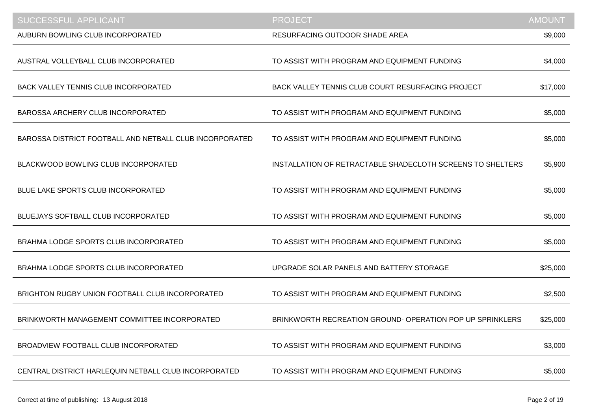| <b>SUCCESSFUL APPLICANT</b>                             | <b>PROJECT</b>                                             | <b>AMOUNT</b> |
|---------------------------------------------------------|------------------------------------------------------------|---------------|
| AUBURN BOWLING CLUB INCORPORATED                        | RESURFACING OUTDOOR SHADE AREA                             | \$9,000       |
| AUSTRAL VOLLEYBALL CLUB INCORPORATED                    | TO ASSIST WITH PROGRAM AND EQUIPMENT FUNDING               | \$4,000       |
| <b>BACK VALLEY TENNIS CLUB INCORPORATED</b>             | BACK VALLEY TENNIS CLUB COURT RESURFACING PROJECT          | \$17,000      |
| <b>BAROSSA ARCHERY CLUB INCORPORATED</b>                | TO ASSIST WITH PROGRAM AND EQUIPMENT FUNDING               | \$5,000       |
| BAROSSA DISTRICT FOOTBALL AND NETBALL CLUB INCORPORATED | TO ASSIST WITH PROGRAM AND EQUIPMENT FUNDING               | \$5,000       |
| BLACKWOOD BOWLING CLUB INCORPORATED                     | INSTALLATION OF RETRACTABLE SHADECLOTH SCREENS TO SHELTERS | \$5,900       |
| BLUE LAKE SPORTS CLUB INCORPORATED                      | TO ASSIST WITH PROGRAM AND EQUIPMENT FUNDING               | \$5,000       |
| BLUEJAYS SOFTBALL CLUB INCORPORATED                     | TO ASSIST WITH PROGRAM AND EQUIPMENT FUNDING               | \$5,000       |
| BRAHMA LODGE SPORTS CLUB INCORPORATED                   | TO ASSIST WITH PROGRAM AND EQUIPMENT FUNDING               | \$5,000       |
| BRAHMA LODGE SPORTS CLUB INCORPORATED                   | UPGRADE SOLAR PANELS AND BATTERY STORAGE                   | \$25,000      |
| BRIGHTON RUGBY UNION FOOTBALL CLUB INCORPORATED         | TO ASSIST WITH PROGRAM AND EQUIPMENT FUNDING               | \$2,500       |
| BRINKWORTH MANAGEMENT COMMITTEE INCORPORATED            | BRINKWORTH RECREATION GROUND-OPERATION POP UP SPRINKLERS   | \$25,000      |
| BROADVIEW FOOTBALL CLUB INCORPORATED                    | TO ASSIST WITH PROGRAM AND EQUIPMENT FUNDING               | \$3,000       |
| CENTRAL DISTRICT HARLEQUIN NETBALL CLUB INCORPORATED    | TO ASSIST WITH PROGRAM AND EQUIPMENT FUNDING               | \$5,000       |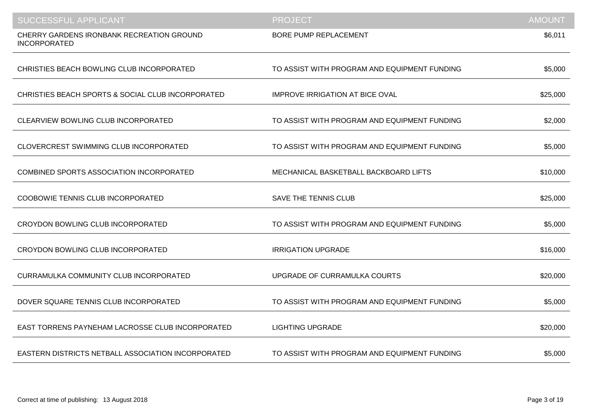| <b>SUCCESSFUL APPLICANT</b>                                      | <b>PROJECT</b>                               | <b>AMOUNT</b> |
|------------------------------------------------------------------|----------------------------------------------|---------------|
| CHERRY GARDENS IRONBANK RECREATION GROUND<br><b>INCORPORATED</b> | <b>BORE PUMP REPLACEMENT</b>                 | \$6,011       |
| CHRISTIES BEACH BOWLING CLUB INCORPORATED                        | TO ASSIST WITH PROGRAM AND EQUIPMENT FUNDING | \$5,000       |
| CHRISTIES BEACH SPORTS & SOCIAL CLUB INCORPORATED                | <b>IMPROVE IRRIGATION AT BICE OVAL</b>       | \$25,000      |
| CLEARVIEW BOWLING CLUB INCORPORATED                              | TO ASSIST WITH PROGRAM AND EQUIPMENT FUNDING | \$2,000       |
| CLOVERCREST SWIMMING CLUB INCORPORATED                           | TO ASSIST WITH PROGRAM AND EQUIPMENT FUNDING | \$5,000       |
| <b>COMBINED SPORTS ASSOCIATION INCORPORATED</b>                  | MECHANICAL BASKETBALL BACKBOARD LIFTS        | \$10,000      |
| COOBOWIE TENNIS CLUB INCORPORATED                                | <b>SAVE THE TENNIS CLUB</b>                  | \$25,000      |
| CROYDON BOWLING CLUB INCORPORATED                                | TO ASSIST WITH PROGRAM AND EQUIPMENT FUNDING | \$5,000       |
| CROYDON BOWLING CLUB INCORPORATED                                | <b>IRRIGATION UPGRADE</b>                    | \$16,000      |
| CURRAMULKA COMMUNITY CLUB INCORPORATED                           | UPGRADE OF CURRAMULKA COURTS                 | \$20,000      |
| DOVER SQUARE TENNIS CLUB INCORPORATED                            | TO ASSIST WITH PROGRAM AND EQUIPMENT FUNDING | \$5,000       |
| EAST TORRENS PAYNEHAM LACROSSE CLUB INCORPORATED                 | <b>LIGHTING UPGRADE</b>                      | \$20,000      |
| EASTERN DISTRICTS NETBALL ASSOCIATION INCORPORATED               | TO ASSIST WITH PROGRAM AND EQUIPMENT FUNDING | \$5,000       |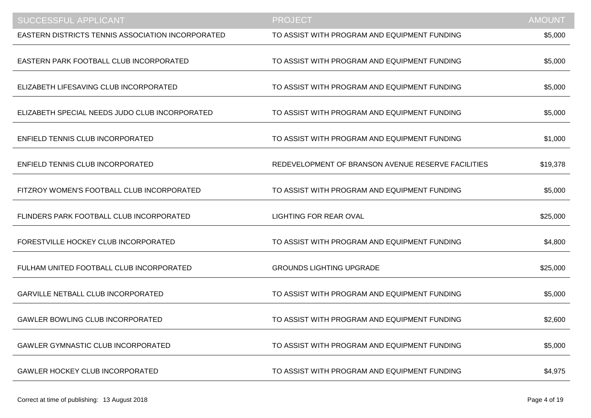| <b>SUCCESSFUL APPLICANT</b>                              | <b>PROJECT</b>                                     | <b>AMOUNT</b> |
|----------------------------------------------------------|----------------------------------------------------|---------------|
| <b>EASTERN DISTRICTS TENNIS ASSOCIATION INCORPORATED</b> | TO ASSIST WITH PROGRAM AND EQUIPMENT FUNDING       | \$5,000       |
| EASTERN PARK FOOTBALL CLUB INCORPORATED                  | TO ASSIST WITH PROGRAM AND EQUIPMENT FUNDING       | \$5,000       |
| ELIZABETH LIFESAVING CLUB INCORPORATED                   | TO ASSIST WITH PROGRAM AND EQUIPMENT FUNDING       | \$5,000       |
| ELIZABETH SPECIAL NEEDS JUDO CLUB INCORPORATED           | TO ASSIST WITH PROGRAM AND EQUIPMENT FUNDING       | \$5,000       |
| ENFIELD TENNIS CLUB INCORPORATED                         | TO ASSIST WITH PROGRAM AND EQUIPMENT FUNDING       | \$1,000       |
| ENFIELD TENNIS CLUB INCORPORATED                         | REDEVELOPMENT OF BRANSON AVENUE RESERVE FACILITIES | \$19,378      |
| FITZROY WOMEN'S FOOTBALL CLUB INCORPORATED               | TO ASSIST WITH PROGRAM AND EQUIPMENT FUNDING       | \$5,000       |
| FLINDERS PARK FOOTBALL CLUB INCORPORATED                 | <b>LIGHTING FOR REAR OVAL</b>                      | \$25,000      |
| FORESTVILLE HOCKEY CLUB INCORPORATED                     | TO ASSIST WITH PROGRAM AND EQUIPMENT FUNDING       | \$4,800       |
| FULHAM UNITED FOOTBALL CLUB INCORPORATED                 | <b>GROUNDS LIGHTING UPGRADE</b>                    | \$25,000      |
| GARVILLE NETBALL CLUB INCORPORATED                       | TO ASSIST WITH PROGRAM AND EQUIPMENT FUNDING       | \$5,000       |
| <b>GAWLER BOWLING CLUB INCORPORATED</b>                  | TO ASSIST WITH PROGRAM AND EQUIPMENT FUNDING       | \$2,600       |
| <b>GAWLER GYMNASTIC CLUB INCORPORATED</b>                | TO ASSIST WITH PROGRAM AND EQUIPMENT FUNDING       | \$5,000       |
| <b>GAWLER HOCKEY CLUB INCORPORATED</b>                   | TO ASSIST WITH PROGRAM AND EQUIPMENT FUNDING       | \$4,975       |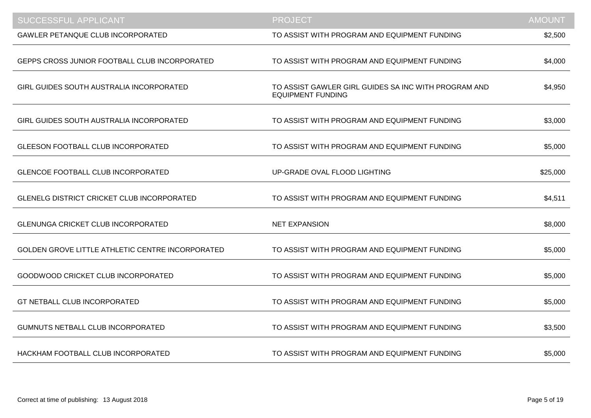| <b>SUCCESSFUL APPLICANT</b>                       | <b>PROJECT</b>                                                                   | <b>AMOUNT</b> |
|---------------------------------------------------|----------------------------------------------------------------------------------|---------------|
| <b>GAWLER PETANQUE CLUB INCORPORATED</b>          | TO ASSIST WITH PROGRAM AND EQUIPMENT FUNDING                                     | \$2,500       |
| GEPPS CROSS JUNIOR FOOTBALL CLUB INCORPORATED     | TO ASSIST WITH PROGRAM AND EQUIPMENT FUNDING                                     | \$4,000       |
| GIRL GUIDES SOUTH AUSTRALIA INCORPORATED          | TO ASSIST GAWLER GIRL GUIDES SA INC WITH PROGRAM AND<br><b>EQUIPMENT FUNDING</b> | \$4,950       |
| GIRL GUIDES SOUTH AUSTRALIA INCORPORATED          | TO ASSIST WITH PROGRAM AND EQUIPMENT FUNDING                                     | \$3,000       |
| <b>GLEESON FOOTBALL CLUB INCORPORATED</b>         | TO ASSIST WITH PROGRAM AND EQUIPMENT FUNDING                                     | \$5,000       |
| <b>GLENCOE FOOTBALL CLUB INCORPORATED</b>         | UP-GRADE OVAL FLOOD LIGHTING                                                     | \$25,000      |
| <b>GLENELG DISTRICT CRICKET CLUB INCORPORATED</b> | TO ASSIST WITH PROGRAM AND EQUIPMENT FUNDING                                     | \$4,511       |
| <b>GLENUNGA CRICKET CLUB INCORPORATED</b>         | <b>NET EXPANSION</b>                                                             | \$8,000       |
| GOLDEN GROVE LITTLE ATHLETIC CENTRE INCORPORATED  | TO ASSIST WITH PROGRAM AND EQUIPMENT FUNDING                                     | \$5,000       |
| GOODWOOD CRICKET CLUB INCORPORATED                | TO ASSIST WITH PROGRAM AND EQUIPMENT FUNDING                                     | \$5,000       |
| GT NETBALL CLUB INCORPORATED                      | TO ASSIST WITH PROGRAM AND EQUIPMENT FUNDING                                     | \$5,000       |
| GUMNUTS NETBALL CLUB INCORPORATED                 | TO ASSIST WITH PROGRAM AND EQUIPMENT FUNDING                                     | \$3,500       |
| HACKHAM FOOTBALL CLUB INCORPORATED                | TO ASSIST WITH PROGRAM AND EQUIPMENT FUNDING                                     | \$5,000       |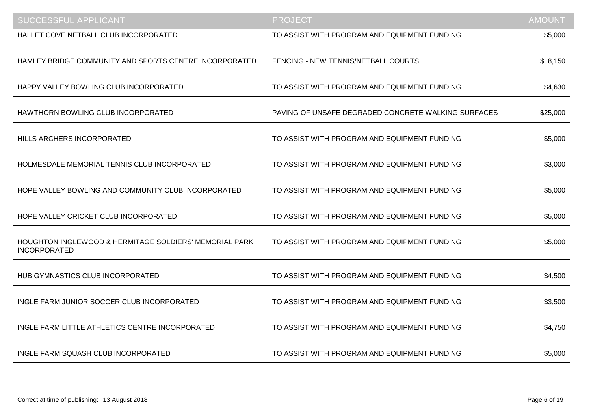| <b>SUCCESSFUL APPLICANT</b>                                                              | <b>PROJECT</b>                                      | <b>AMOUNT</b> |
|------------------------------------------------------------------------------------------|-----------------------------------------------------|---------------|
| HALLET COVE NETBALL CLUB INCORPORATED                                                    | TO ASSIST WITH PROGRAM AND EQUIPMENT FUNDING        | \$5,000       |
| HAMLEY BRIDGE COMMUNITY AND SPORTS CENTRE INCORPORATED                                   | FENCING - NEW TENNIS/NETBALL COURTS                 | \$18,150      |
| HAPPY VALLEY BOWLING CLUB INCORPORATED                                                   | TO ASSIST WITH PROGRAM AND EQUIPMENT FUNDING        | \$4,630       |
| HAWTHORN BOWLING CLUB INCORPORATED                                                       | PAVING OF UNSAFE DEGRADED CONCRETE WALKING SURFACES | \$25,000      |
| HILLS ARCHERS INCORPORATED                                                               | TO ASSIST WITH PROGRAM AND EQUIPMENT FUNDING        | \$5,000       |
| HOLMESDALE MEMORIAL TENNIS CLUB INCORPORATED                                             | TO ASSIST WITH PROGRAM AND EQUIPMENT FUNDING        | \$3,000       |
| HOPE VALLEY BOWLING AND COMMUNITY CLUB INCORPORATED                                      | TO ASSIST WITH PROGRAM AND EQUIPMENT FUNDING        | \$5,000       |
| HOPE VALLEY CRICKET CLUB INCORPORATED                                                    | TO ASSIST WITH PROGRAM AND EQUIPMENT FUNDING        | \$5,000       |
| <b>HOUGHTON INGLEWOOD &amp; HERMITAGE SOLDIERS' MEMORIAL PARK</b><br><b>INCORPORATED</b> | TO ASSIST WITH PROGRAM AND EQUIPMENT FUNDING        | \$5,000       |
| HUB GYMNASTICS CLUB INCORPORATED                                                         | TO ASSIST WITH PROGRAM AND EQUIPMENT FUNDING        | \$4,500       |
| INGLE FARM JUNIOR SOCCER CLUB INCORPORATED                                               | TO ASSIST WITH PROGRAM AND EQUIPMENT FUNDING        | \$3,500       |
| INGLE FARM LITTLE ATHLETICS CENTRE INCORPORATED                                          | TO ASSIST WITH PROGRAM AND EQUIPMENT FUNDING        | \$4,750       |
| INGLE FARM SQUASH CLUB INCORPORATED                                                      | TO ASSIST WITH PROGRAM AND EQUIPMENT FUNDING        | \$5,000       |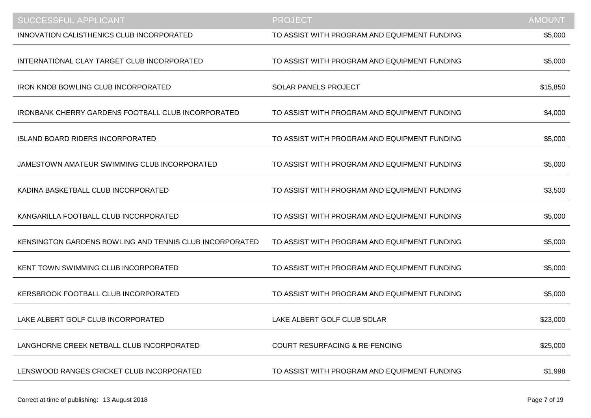| <b>SUCCESSFUL APPLICANT</b>                               | <b>PROJECT</b>                               | <b>AMOUNT</b> |
|-----------------------------------------------------------|----------------------------------------------|---------------|
| <b>INNOVATION CALISTHENICS CLUB INCORPORATED</b>          | TO ASSIST WITH PROGRAM AND EQUIPMENT FUNDING | \$5,000       |
| INTERNATIONAL CLAY TARGET CLUB INCORPORATED               | TO ASSIST WITH PROGRAM AND EQUIPMENT FUNDING | \$5,000       |
| <b>IRON KNOB BOWLING CLUB INCORPORATED</b>                | <b>SOLAR PANELS PROJECT</b>                  | \$15,850      |
| <b>IRONBANK CHERRY GARDENS FOOTBALL CLUB INCORPORATED</b> | TO ASSIST WITH PROGRAM AND EQUIPMENT FUNDING | \$4,000       |
| <b>ISLAND BOARD RIDERS INCORPORATED</b>                   | TO ASSIST WITH PROGRAM AND EQUIPMENT FUNDING | \$5,000       |
| JAMESTOWN AMATEUR SWIMMING CLUB INCORPORATED              | TO ASSIST WITH PROGRAM AND EQUIPMENT FUNDING | \$5,000       |
| KADINA BASKETBALL CLUB INCORPORATED                       | TO ASSIST WITH PROGRAM AND EQUIPMENT FUNDING | \$3,500       |
| KANGARILLA FOOTBALL CLUB INCORPORATED                     | TO ASSIST WITH PROGRAM AND EQUIPMENT FUNDING | \$5,000       |
| KENSINGTON GARDENS BOWLING AND TENNIS CLUB INCORPORATED   | TO ASSIST WITH PROGRAM AND EQUIPMENT FUNDING | \$5,000       |
| KENT TOWN SWIMMING CLUB INCORPORATED                      | TO ASSIST WITH PROGRAM AND EQUIPMENT FUNDING | \$5,000       |
| KERSBROOK FOOTBALL CLUB INCORPORATED                      | TO ASSIST WITH PROGRAM AND EQUIPMENT FUNDING | \$5,000       |
| LAKE ALBERT GOLF CLUB INCORPORATED                        | LAKE ALBERT GOLF CLUB SOLAR                  | \$23,000      |
| LANGHORNE CREEK NETBALL CLUB INCORPORATED                 | <b>COURT RESURFACING &amp; RE-FENCING</b>    | \$25,000      |
| LENSWOOD RANGES CRICKET CLUB INCORPORATED                 | TO ASSIST WITH PROGRAM AND EQUIPMENT FUNDING | \$1,998       |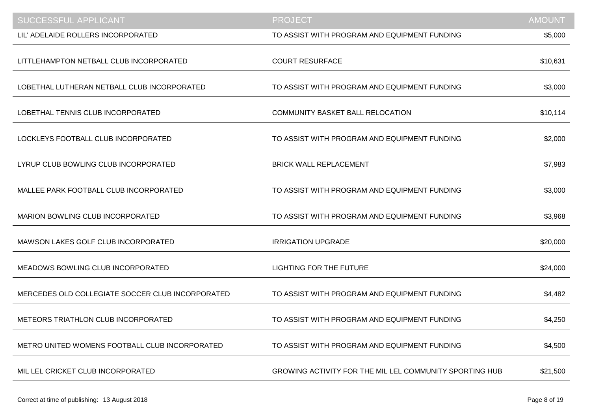| <b>SUCCESSFUL APPLICANT</b>                      | <b>PROJECT</b>                                          | <b>AMOUNT</b> |
|--------------------------------------------------|---------------------------------------------------------|---------------|
| LIL' ADELAIDE ROLLERS INCORPORATED               | TO ASSIST WITH PROGRAM AND EQUIPMENT FUNDING            | \$5,000       |
| LITTLEHAMPTON NETBALL CLUB INCORPORATED          | <b>COURT RESURFACE</b>                                  | \$10,631      |
| LOBETHAL LUTHERAN NETBALL CLUB INCORPORATED      | TO ASSIST WITH PROGRAM AND EQUIPMENT FUNDING            | \$3,000       |
| LOBETHAL TENNIS CLUB INCORPORATED                | COMMUNITY BASKET BALL RELOCATION                        | \$10,114      |
| LOCKLEYS FOOTBALL CLUB INCORPORATED              | TO ASSIST WITH PROGRAM AND EQUIPMENT FUNDING            | \$2,000       |
| LYRUP CLUB BOWLING CLUB INCORPORATED             | <b>BRICK WALL REPLACEMENT</b>                           | \$7,983       |
| MALLEE PARK FOOTBALL CLUB INCORPORATED           | TO ASSIST WITH PROGRAM AND EQUIPMENT FUNDING            | \$3,000       |
| MARION BOWLING CLUB INCORPORATED                 | TO ASSIST WITH PROGRAM AND EQUIPMENT FUNDING            | \$3,968       |
| MAWSON LAKES GOLF CLUB INCORPORATED              | <b>IRRIGATION UPGRADE</b>                               | \$20,000      |
| MEADOWS BOWLING CLUB INCORPORATED                | <b>LIGHTING FOR THE FUTURE</b>                          | \$24,000      |
| MERCEDES OLD COLLEGIATE SOCCER CLUB INCORPORATED | TO ASSIST WITH PROGRAM AND EQUIPMENT FUNDING            | \$4,482       |
| METEORS TRIATHLON CLUB INCORPORATED              | TO ASSIST WITH PROGRAM AND EQUIPMENT FUNDING            | \$4,250       |
| METRO UNITED WOMENS FOOTBALL CLUB INCORPORATED   | TO ASSIST WITH PROGRAM AND EQUIPMENT FUNDING            | \$4,500       |
| MIL LEL CRICKET CLUB INCORPORATED                | GROWING ACTIVITY FOR THE MIL LEL COMMUNITY SPORTING HUB | \$21,500      |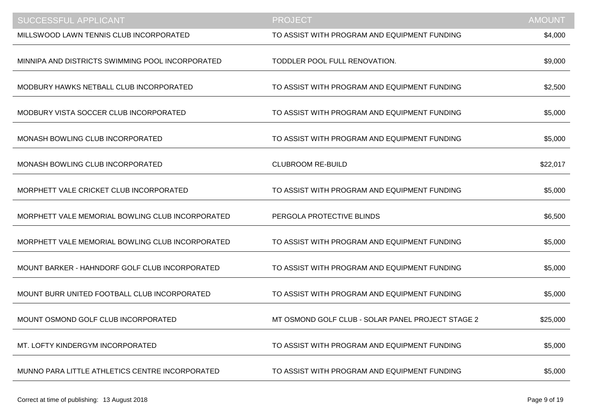| <b>SUCCESSFUL APPLICANT</b>                      | <b>PROJECT</b>                                    | <b>AMOUNT</b> |
|--------------------------------------------------|---------------------------------------------------|---------------|
| MILLSWOOD LAWN TENNIS CLUB INCORPORATED          | TO ASSIST WITH PROGRAM AND EQUIPMENT FUNDING      | \$4,000       |
| MINNIPA AND DISTRICTS SWIMMING POOL INCORPORATED | TODDLER POOL FULL RENOVATION.                     | \$9,000       |
| MODBURY HAWKS NETBALL CLUB INCORPORATED          | TO ASSIST WITH PROGRAM AND EQUIPMENT FUNDING      | \$2,500       |
| MODBURY VISTA SOCCER CLUB INCORPORATED           | TO ASSIST WITH PROGRAM AND EQUIPMENT FUNDING      | \$5,000       |
| MONASH BOWLING CLUB INCORPORATED                 | TO ASSIST WITH PROGRAM AND EQUIPMENT FUNDING      | \$5,000       |
| MONASH BOWLING CLUB INCORPORATED                 | <b>CLUBROOM RE-BUILD</b>                          | \$22,017      |
| MORPHETT VALE CRICKET CLUB INCORPORATED          | TO ASSIST WITH PROGRAM AND EQUIPMENT FUNDING      | \$5,000       |
| MORPHETT VALE MEMORIAL BOWLING CLUB INCORPORATED | PERGOLA PROTECTIVE BLINDS                         | \$6,500       |
| MORPHETT VALE MEMORIAL BOWLING CLUB INCORPORATED | TO ASSIST WITH PROGRAM AND EQUIPMENT FUNDING      | \$5,000       |
| MOUNT BARKER - HAHNDORF GOLF CLUB INCORPORATED   | TO ASSIST WITH PROGRAM AND EQUIPMENT FUNDING      | \$5,000       |
| MOUNT BURR UNITED FOOTBALL CLUB INCORPORATED     | TO ASSIST WITH PROGRAM AND EQUIPMENT FUNDING      | \$5,000       |
| MOUNT OSMOND GOLF CLUB INCORPORATED              | MT OSMOND GOLF CLUB - SOLAR PANEL PROJECT STAGE 2 | \$25,000      |
| MT. LOFTY KINDERGYM INCORPORATED                 | TO ASSIST WITH PROGRAM AND EQUIPMENT FUNDING      | \$5,000       |
| MUNNO PARA LITTLE ATHLETICS CENTRE INCORPORATED  | TO ASSIST WITH PROGRAM AND EQUIPMENT FUNDING      | \$5,000       |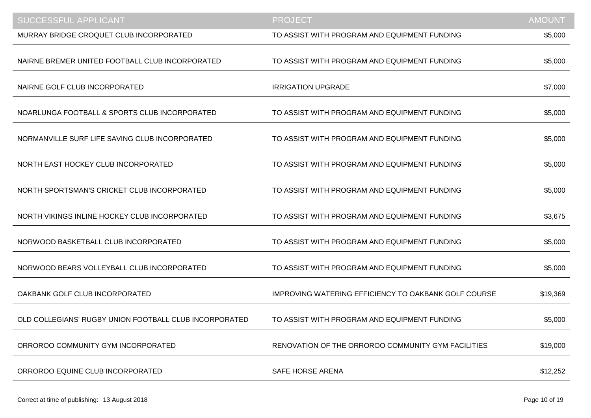| <b>SUCCESSFUL APPLICANT</b>                            | <b>PROJECT</b>                                              | <b>AMOUNT</b> |
|--------------------------------------------------------|-------------------------------------------------------------|---------------|
| MURRAY BRIDGE CROQUET CLUB INCORPORATED                | TO ASSIST WITH PROGRAM AND EQUIPMENT FUNDING                | \$5,000       |
| NAIRNE BREMER UNITED FOOTBALL CLUB INCORPORATED        | TO ASSIST WITH PROGRAM AND EQUIPMENT FUNDING                | \$5,000       |
| NAIRNE GOLF CLUB INCORPORATED                          | <b>IRRIGATION UPGRADE</b>                                   | \$7,000       |
| NOARLUNGA FOOTBALL & SPORTS CLUB INCORPORATED          | TO ASSIST WITH PROGRAM AND EQUIPMENT FUNDING                | \$5,000       |
| NORMANVILLE SURF LIFE SAVING CLUB INCORPORATED         | TO ASSIST WITH PROGRAM AND EQUIPMENT FUNDING                | \$5,000       |
| NORTH EAST HOCKEY CLUB INCORPORATED                    | TO ASSIST WITH PROGRAM AND EQUIPMENT FUNDING                | \$5,000       |
| NORTH SPORTSMAN'S CRICKET CLUB INCORPORATED            | TO ASSIST WITH PROGRAM AND EQUIPMENT FUNDING                | \$5,000       |
| NORTH VIKINGS INLINE HOCKEY CLUB INCORPORATED          | TO ASSIST WITH PROGRAM AND EQUIPMENT FUNDING                | \$3,675       |
| NORWOOD BASKETBALL CLUB INCORPORATED                   | TO ASSIST WITH PROGRAM AND EQUIPMENT FUNDING                | \$5,000       |
| NORWOOD BEARS VOLLEYBALL CLUB INCORPORATED             | TO ASSIST WITH PROGRAM AND EQUIPMENT FUNDING                | \$5,000       |
| OAKBANK GOLF CLUB INCORPORATED                         | <b>IMPROVING WATERING EFFICIENCY TO OAKBANK GOLF COURSE</b> | \$19,369      |
| OLD COLLEGIANS' RUGBY UNION FOOTBALL CLUB INCORPORATED | TO ASSIST WITH PROGRAM AND EQUIPMENT FUNDING                | \$5,000       |
| ORROROO COMMUNITY GYM INCORPORATED                     | RENOVATION OF THE ORROROO COMMUNITY GYM FACILITIES          | \$19,000      |
| ORROROO EQUINE CLUB INCORPORATED                       | <b>SAFE HORSE ARENA</b>                                     | \$12,252      |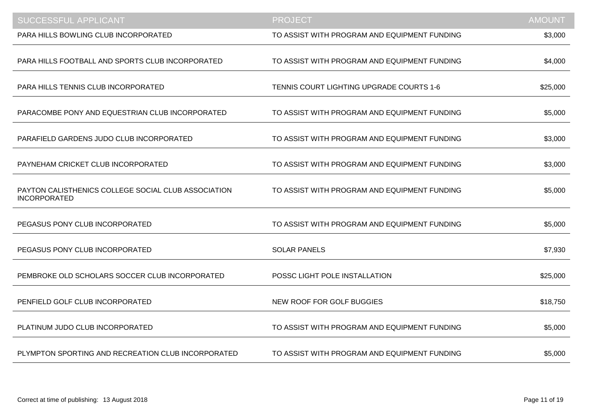| <b>SUCCESSFUL APPLICANT</b>                                                | <b>PROJECT</b>                               | <b>AMOUNT</b> |
|----------------------------------------------------------------------------|----------------------------------------------|---------------|
| PARA HILLS BOWLING CLUB INCORPORATED                                       | TO ASSIST WITH PROGRAM AND EQUIPMENT FUNDING | \$3,000       |
| PARA HILLS FOOTBALL AND SPORTS CLUB INCORPORATED                           | TO ASSIST WITH PROGRAM AND EQUIPMENT FUNDING | \$4,000       |
| PARA HILLS TENNIS CLUB INCORPORATED                                        | TENNIS COURT LIGHTING UPGRADE COURTS 1-6     | \$25,000      |
| PARACOMBE PONY AND EQUESTRIAN CLUB INCORPORATED                            | TO ASSIST WITH PROGRAM AND EQUIPMENT FUNDING | \$5,000       |
| PARAFIELD GARDENS JUDO CLUB INCORPORATED                                   | TO ASSIST WITH PROGRAM AND EQUIPMENT FUNDING | \$3,000       |
| PAYNEHAM CRICKET CLUB INCORPORATED                                         | TO ASSIST WITH PROGRAM AND EQUIPMENT FUNDING | \$3,000       |
| PAYTON CALISTHENICS COLLEGE SOCIAL CLUB ASSOCIATION<br><b>INCORPORATED</b> | TO ASSIST WITH PROGRAM AND EQUIPMENT FUNDING | \$5,000       |
| PEGASUS PONY CLUB INCORPORATED                                             | TO ASSIST WITH PROGRAM AND EQUIPMENT FUNDING | \$5,000       |
| PEGASUS PONY CLUB INCORPORATED                                             | <b>SOLAR PANELS</b>                          | \$7,930       |
| PEMBROKE OLD SCHOLARS SOCCER CLUB INCORPORATED                             | POSSC LIGHT POLE INSTALLATION                | \$25,000      |
| PENFIELD GOLF CLUB INCORPORATED                                            | NEW ROOF FOR GOLF BUGGIES                    | \$18,750      |
| PLATINUM JUDO CLUB INCORPORATED                                            | TO ASSIST WITH PROGRAM AND EQUIPMENT FUNDING | \$5,000       |
| PLYMPTON SPORTING AND RECREATION CLUB INCORPORATED                         | TO ASSIST WITH PROGRAM AND EQUIPMENT FUNDING | \$5,000       |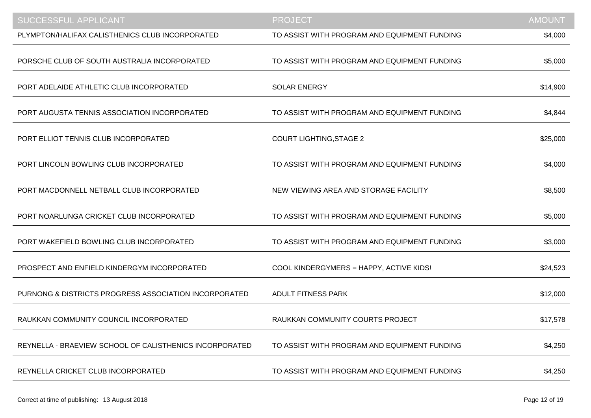| <b>SUCCESSFUL APPLICANT</b>                             | <b>PROJECT</b>                               | <b>AMOUNT</b> |
|---------------------------------------------------------|----------------------------------------------|---------------|
| PLYMPTON/HALIFAX CALISTHENICS CLUB INCORPORATED         | TO ASSIST WITH PROGRAM AND EQUIPMENT FUNDING | \$4,000       |
| PORSCHE CLUB OF SOUTH AUSTRALIA INCORPORATED            | TO ASSIST WITH PROGRAM AND EQUIPMENT FUNDING | \$5,000       |
| PORT ADELAIDE ATHLETIC CLUB INCORPORATED                | <b>SOLAR ENERGY</b>                          | \$14,900      |
| PORT AUGUSTA TENNIS ASSOCIATION INCORPORATED            | TO ASSIST WITH PROGRAM AND EQUIPMENT FUNDING | \$4,844       |
| PORT ELLIOT TENNIS CLUB INCORPORATED                    | <b>COURT LIGHTING, STAGE 2</b>               | \$25,000      |
| PORT LINCOLN BOWLING CLUB INCORPORATED                  | TO ASSIST WITH PROGRAM AND EQUIPMENT FUNDING | \$4,000       |
| PORT MACDONNELL NETBALL CLUB INCORPORATED               | NEW VIEWING AREA AND STORAGE FACILITY        | \$8,500       |
| PORT NOARLUNGA CRICKET CLUB INCORPORATED                | TO ASSIST WITH PROGRAM AND EQUIPMENT FUNDING | \$5,000       |
| PORT WAKEFIELD BOWLING CLUB INCORPORATED                | TO ASSIST WITH PROGRAM AND EQUIPMENT FUNDING | \$3,000       |
| PROSPECT AND ENFIELD KINDERGYM INCORPORATED             | COOL KINDERGYMERS = HAPPY, ACTIVE KIDS!      | \$24,523      |
| PURNONG & DISTRICTS PROGRESS ASSOCIATION INCORPORATED   | <b>ADULT FITNESS PARK</b>                    | \$12,000      |
| RAUKKAN COMMUNITY COUNCIL INCORPORATED                  | RAUKKAN COMMUNITY COURTS PROJECT             | \$17,578      |
| REYNELLA - BRAEVIEW SCHOOL OF CALISTHENICS INCORPORATED | TO ASSIST WITH PROGRAM AND EQUIPMENT FUNDING | \$4,250       |
| REYNELLA CRICKET CLUB INCORPORATED                      | TO ASSIST WITH PROGRAM AND EQUIPMENT FUNDING | \$4,250       |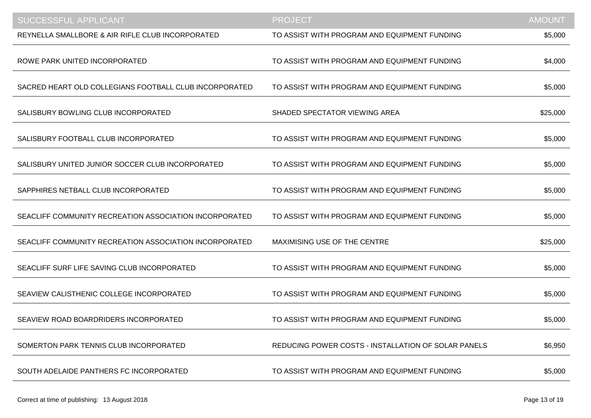| <b>SUCCESSFUL APPLICANT</b>                            | <b>PROJECT</b>                                      | <b>AMOUNT</b> |
|--------------------------------------------------------|-----------------------------------------------------|---------------|
| REYNELLA SMALLBORE & AIR RIFLE CLUB INCORPORATED       | TO ASSIST WITH PROGRAM AND EQUIPMENT FUNDING        | \$5,000       |
| ROWE PARK UNITED INCORPORATED                          | TO ASSIST WITH PROGRAM AND EQUIPMENT FUNDING        | \$4,000       |
| SACRED HEART OLD COLLEGIANS FOOTBALL CLUB INCORPORATED | TO ASSIST WITH PROGRAM AND EQUIPMENT FUNDING        | \$5,000       |
| SALISBURY BOWLING CLUB INCORPORATED                    | SHADED SPECTATOR VIEWING AREA                       | \$25,000      |
| SALISBURY FOOTBALL CLUB INCORPORATED                   | TO ASSIST WITH PROGRAM AND EQUIPMENT FUNDING        | \$5,000       |
| SALISBURY UNITED JUNIOR SOCCER CLUB INCORPORATED       | TO ASSIST WITH PROGRAM AND EQUIPMENT FUNDING        | \$5,000       |
| SAPPHIRES NETBALL CLUB INCORPORATED                    | TO ASSIST WITH PROGRAM AND EQUIPMENT FUNDING        | \$5,000       |
| SEACLIFF COMMUNITY RECREATION ASSOCIATION INCORPORATED | TO ASSIST WITH PROGRAM AND EQUIPMENT FUNDING        | \$5,000       |
| SEACLIFF COMMUNITY RECREATION ASSOCIATION INCORPORATED | MAXIMISING USE OF THE CENTRE                        | \$25,000      |
| SEACLIFF SURF LIFE SAVING CLUB INCORPORATED            | TO ASSIST WITH PROGRAM AND EQUIPMENT FUNDING        | \$5,000       |
| SEAVIEW CALISTHENIC COLLEGE INCORPORATED               | TO ASSIST WITH PROGRAM AND EQUIPMENT FUNDING        | \$5,000       |
| SEAVIEW ROAD BOARDRIDERS INCORPORATED                  | TO ASSIST WITH PROGRAM AND EQUIPMENT FUNDING        | \$5,000       |
| SOMERTON PARK TENNIS CLUB INCORPORATED                 | REDUCING POWER COSTS - INSTALLATION OF SOLAR PANELS | \$6,950       |
| SOUTH ADELAIDE PANTHERS FC INCORPORATED                | TO ASSIST WITH PROGRAM AND EQUIPMENT FUNDING        | \$5,000       |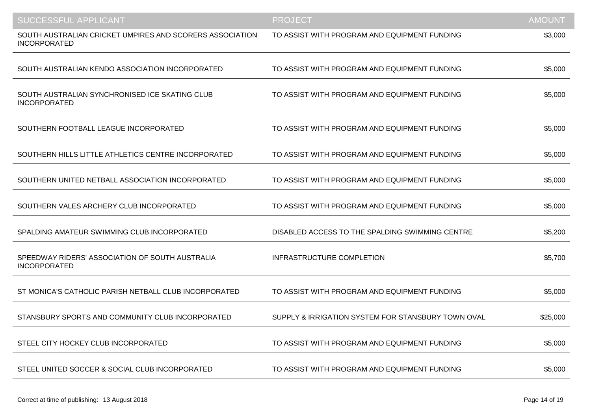| <b>SUCCESSFUL APPLICANT</b>                                                     | <b>PROJECT</b>                                     | <b>AMOUNT</b> |
|---------------------------------------------------------------------------------|----------------------------------------------------|---------------|
| SOUTH AUSTRALIAN CRICKET UMPIRES AND SCORERS ASSOCIATION<br><b>INCORPORATED</b> | TO ASSIST WITH PROGRAM AND EQUIPMENT FUNDING       | \$3,000       |
| SOUTH AUSTRALIAN KENDO ASSOCIATION INCORPORATED                                 | TO ASSIST WITH PROGRAM AND EQUIPMENT FUNDING       | \$5,000       |
| SOUTH AUSTRALIAN SYNCHRONISED ICE SKATING CLUB<br><b>INCORPORATED</b>           | TO ASSIST WITH PROGRAM AND EQUIPMENT FUNDING       | \$5,000       |
| SOUTHERN FOOTBALL LEAGUE INCORPORATED                                           | TO ASSIST WITH PROGRAM AND EQUIPMENT FUNDING       | \$5,000       |
| SOUTHERN HILLS LITTLE ATHLETICS CENTRE INCORPORATED                             | TO ASSIST WITH PROGRAM AND EQUIPMENT FUNDING       | \$5,000       |
| SOUTHERN UNITED NETBALL ASSOCIATION INCORPORATED                                | TO ASSIST WITH PROGRAM AND EQUIPMENT FUNDING       | \$5,000       |
| SOUTHERN VALES ARCHERY CLUB INCORPORATED                                        | TO ASSIST WITH PROGRAM AND EQUIPMENT FUNDING       | \$5,000       |
| SPALDING AMATEUR SWIMMING CLUB INCORPORATED                                     | DISABLED ACCESS TO THE SPALDING SWIMMING CENTRE    | \$5,200       |
| SPEEDWAY RIDERS' ASSOCIATION OF SOUTH AUSTRALIA<br><b>INCORPORATED</b>          | <b>INFRASTRUCTURE COMPLETION</b>                   | \$5,700       |
| ST MONICA'S CATHOLIC PARISH NETBALL CLUB INCORPORATED                           | TO ASSIST WITH PROGRAM AND EQUIPMENT FUNDING       | \$5,000       |
| STANSBURY SPORTS AND COMMUNITY CLUB INCORPORATED                                | SUPPLY & IRRIGATION SYSTEM FOR STANSBURY TOWN OVAL | \$25,000      |
| STEEL CITY HOCKEY CLUB INCORPORATED                                             | TO ASSIST WITH PROGRAM AND EQUIPMENT FUNDING       | \$5,000       |
| STEEL UNITED SOCCER & SOCIAL CLUB INCORPORATED                                  | TO ASSIST WITH PROGRAM AND EQUIPMENT FUNDING       | \$5,000       |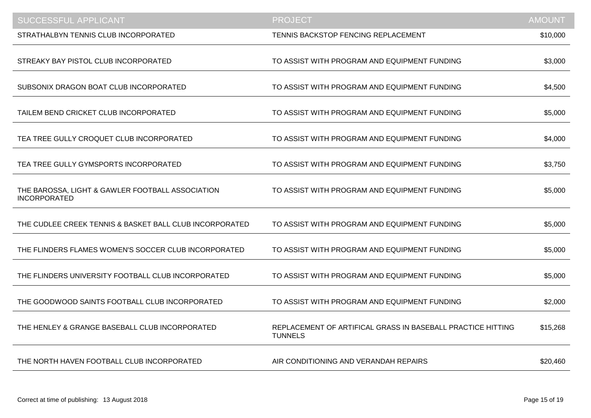| <b>SUCCESSFUL APPLICANT</b>                                             | <b>PROJECT</b>                                                                | <b>AMOUNT</b> |
|-------------------------------------------------------------------------|-------------------------------------------------------------------------------|---------------|
| STRATHALBYN TENNIS CLUB INCORPORATED                                    | TENNIS BACKSTOP FENCING REPLACEMENT                                           | \$10,000      |
| STREAKY BAY PISTOL CLUB INCORPORATED                                    | TO ASSIST WITH PROGRAM AND EQUIPMENT FUNDING                                  | \$3,000       |
| SUBSONIX DRAGON BOAT CLUB INCORPORATED                                  | TO ASSIST WITH PROGRAM AND EQUIPMENT FUNDING                                  | \$4,500       |
| TAILEM BEND CRICKET CLUB INCORPORATED                                   | TO ASSIST WITH PROGRAM AND EQUIPMENT FUNDING                                  | \$5,000       |
| TEA TREE GULLY CROQUET CLUB INCORPORATED                                | TO ASSIST WITH PROGRAM AND EQUIPMENT FUNDING                                  | \$4,000       |
| TEA TREE GULLY GYMSPORTS INCORPORATED                                   | TO ASSIST WITH PROGRAM AND EQUIPMENT FUNDING                                  | \$3,750       |
| THE BAROSSA, LIGHT & GAWLER FOOTBALL ASSOCIATION<br><b>INCORPORATED</b> | TO ASSIST WITH PROGRAM AND EQUIPMENT FUNDING                                  | \$5,000       |
| THE CUDLEE CREEK TENNIS & BASKET BALL CLUB INCORPORATED                 | TO ASSIST WITH PROGRAM AND EQUIPMENT FUNDING                                  | \$5,000       |
| THE FLINDERS FLAMES WOMEN'S SOCCER CLUB INCORPORATED                    | TO ASSIST WITH PROGRAM AND EQUIPMENT FUNDING                                  | \$5,000       |
| THE FLINDERS UNIVERSITY FOOTBALL CLUB INCORPORATED                      | TO ASSIST WITH PROGRAM AND EQUIPMENT FUNDING                                  | \$5,000       |
| THE GOODWOOD SAINTS FOOTBALL CLUB INCORPORATED                          | TO ASSIST WITH PROGRAM AND EQUIPMENT FUNDING                                  | \$2,000       |
| THE HENLEY & GRANGE BASEBALL CLUB INCORPORATED                          | REPLACEMENT OF ARTIFICAL GRASS IN BASEBALL PRACTICE HITTING<br><b>TUNNELS</b> | \$15,268      |
| THE NORTH HAVEN FOOTBALL CLUB INCORPORATED                              | AIR CONDITIONING AND VERANDAH REPAIRS                                         | \$20,460      |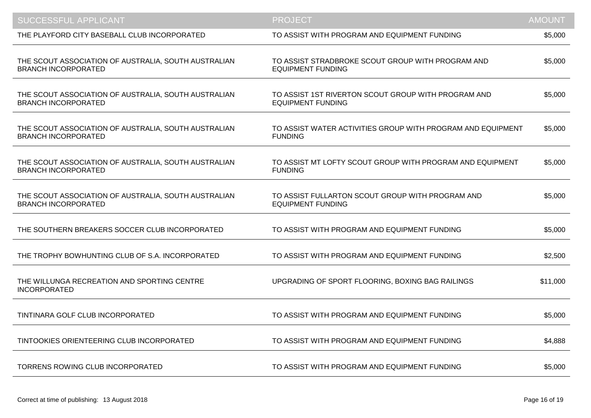| SUCCESSFUL APPLICANT                                                               | <b>PROJECT</b>                                                                  | <b>AMOUNT</b> |
|------------------------------------------------------------------------------------|---------------------------------------------------------------------------------|---------------|
| THE PLAYFORD CITY BASEBALL CLUB INCORPORATED                                       | TO ASSIST WITH PROGRAM AND EQUIPMENT FUNDING                                    | \$5,000       |
| THE SCOUT ASSOCIATION OF AUSTRALIA, SOUTH AUSTRALIAN<br><b>BRANCH INCORPORATED</b> | TO ASSIST STRADBROKE SCOUT GROUP WITH PROGRAM AND<br><b>EQUIPMENT FUNDING</b>   | \$5,000       |
| THE SCOUT ASSOCIATION OF AUSTRALIA, SOUTH AUSTRALIAN<br><b>BRANCH INCORPORATED</b> | TO ASSIST 1ST RIVERTON SCOUT GROUP WITH PROGRAM AND<br><b>EQUIPMENT FUNDING</b> | \$5,000       |
| THE SCOUT ASSOCIATION OF AUSTRALIA, SOUTH AUSTRALIAN<br><b>BRANCH INCORPORATED</b> | TO ASSIST WATER ACTIVITIES GROUP WITH PROGRAM AND EQUIPMENT<br><b>FUNDING</b>   | \$5,000       |
| THE SCOUT ASSOCIATION OF AUSTRALIA, SOUTH AUSTRALIAN<br><b>BRANCH INCORPORATED</b> | TO ASSIST MT LOFTY SCOUT GROUP WITH PROGRAM AND EQUIPMENT<br><b>FUNDING</b>     | \$5,000       |
| THE SCOUT ASSOCIATION OF AUSTRALIA, SOUTH AUSTRALIAN<br><b>BRANCH INCORPORATED</b> | TO ASSIST FULLARTON SCOUT GROUP WITH PROGRAM AND<br><b>EQUIPMENT FUNDING</b>    | \$5,000       |
| THE SOUTHERN BREAKERS SOCCER CLUB INCORPORATED                                     | TO ASSIST WITH PROGRAM AND EQUIPMENT FUNDING                                    | \$5,000       |
| THE TROPHY BOWHUNTING CLUB OF S.A. INCORPORATED                                    | TO ASSIST WITH PROGRAM AND EQUIPMENT FUNDING                                    | \$2,500       |
| THE WILLUNGA RECREATION AND SPORTING CENTRE<br><b>INCORPORATED</b>                 | UPGRADING OF SPORT FLOORING, BOXING BAG RAILINGS                                | \$11,000      |
| TINTINARA GOLF CLUB INCORPORATED                                                   | TO ASSIST WITH PROGRAM AND EQUIPMENT FUNDING                                    | \$5,000       |
| TINTOOKIES ORIENTEERING CLUB INCORPORATED                                          | TO ASSIST WITH PROGRAM AND EQUIPMENT FUNDING                                    | \$4,888       |
| TORRENS ROWING CLUB INCORPORATED                                                   | TO ASSIST WITH PROGRAM AND EQUIPMENT FUNDING                                    | \$5,000       |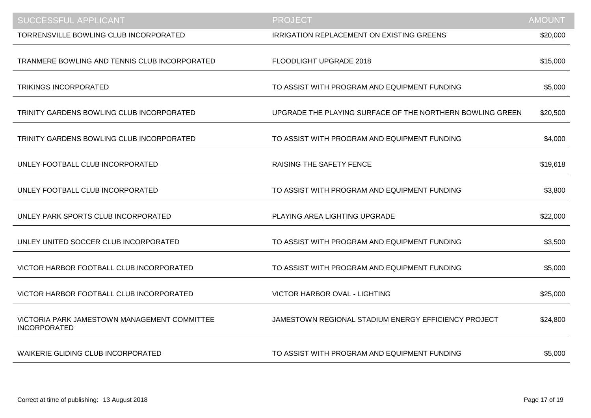| SUCCESSFUL APPLICANT                                                | <b>PROJECT</b>                                            | <b>AMOUNT</b> |
|---------------------------------------------------------------------|-----------------------------------------------------------|---------------|
| TORRENSVILLE BOWLING CLUB INCORPORATED                              | IRRIGATION REPLACEMENT ON EXISTING GREENS                 | \$20,000      |
| TRANMERE BOWLING AND TENNIS CLUB INCORPORATED                       | FLOODLIGHT UPGRADE 2018                                   | \$15,000      |
| <b>TRIKINGS INCORPORATED</b>                                        | TO ASSIST WITH PROGRAM AND EQUIPMENT FUNDING              | \$5,000       |
| TRINITY GARDENS BOWLING CLUB INCORPORATED                           | UPGRADE THE PLAYING SURFACE OF THE NORTHERN BOWLING GREEN | \$20,500      |
| TRINITY GARDENS BOWLING CLUB INCORPORATED                           | TO ASSIST WITH PROGRAM AND EQUIPMENT FUNDING              | \$4,000       |
| UNLEY FOOTBALL CLUB INCORPORATED                                    | <b>RAISING THE SAFETY FENCE</b>                           | \$19,618      |
| UNLEY FOOTBALL CLUB INCORPORATED                                    | TO ASSIST WITH PROGRAM AND EQUIPMENT FUNDING              | \$3,800       |
| UNLEY PARK SPORTS CLUB INCORPORATED                                 | PLAYING AREA LIGHTING UPGRADE                             | \$22,000      |
| UNLEY UNITED SOCCER CLUB INCORPORATED                               | TO ASSIST WITH PROGRAM AND EQUIPMENT FUNDING              | \$3,500       |
| VICTOR HARBOR FOOTBALL CLUB INCORPORATED                            | TO ASSIST WITH PROGRAM AND EQUIPMENT FUNDING              | \$5,000       |
| VICTOR HARBOR FOOTBALL CLUB INCORPORATED                            | VICTOR HARBOR OVAL - LIGHTING                             | \$25,000      |
| VICTORIA PARK JAMESTOWN MANAGEMENT COMMITTEE<br><b>INCORPORATED</b> | JAMESTOWN REGIONAL STADIUM ENERGY EFFICIENCY PROJECT      | \$24,800      |
| <b>WAIKERIE GLIDING CLUB INCORPORATED</b>                           | TO ASSIST WITH PROGRAM AND EQUIPMENT FUNDING              | \$5,000       |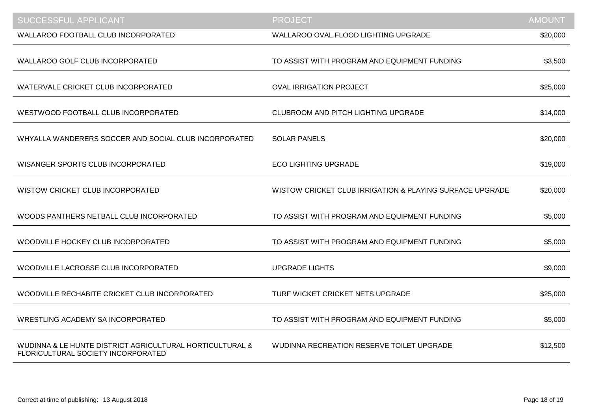| <b>SUCCESSFUL APPLICANT</b>                                                                    | <b>PROJECT</b>                                           | <b>AMOUNT</b> |
|------------------------------------------------------------------------------------------------|----------------------------------------------------------|---------------|
| <b>WALLAROO FOOTBALL CLUB INCORPORATED</b>                                                     | WALLAROO OVAL FLOOD LIGHTING UPGRADE                     | \$20,000      |
| <b>WALLAROO GOLF CLUB INCORPORATED</b>                                                         | TO ASSIST WITH PROGRAM AND EQUIPMENT FUNDING             | \$3,500       |
| WATERVALE CRICKET CLUB INCORPORATED                                                            | <b>OVAL IRRIGATION PROJECT</b>                           | \$25,000      |
| WESTWOOD FOOTBALL CLUB INCORPORATED                                                            | CLUBROOM AND PITCH LIGHTING UPGRADE                      | \$14,000      |
| WHYALLA WANDERERS SOCCER AND SOCIAL CLUB INCORPORATED                                          | <b>SOLAR PANELS</b>                                      | \$20,000      |
| WISANGER SPORTS CLUB INCORPORATED                                                              | <b>ECO LIGHTING UPGRADE</b>                              | \$19,000      |
| <b>WISTOW CRICKET CLUB INCORPORATED</b>                                                        | WISTOW CRICKET CLUB IRRIGATION & PLAYING SURFACE UPGRADE | \$20,000      |
| WOODS PANTHERS NETBALL CLUB INCORPORATED                                                       | TO ASSIST WITH PROGRAM AND EQUIPMENT FUNDING             | \$5,000       |
| WOODVILLE HOCKEY CLUB INCORPORATED                                                             | TO ASSIST WITH PROGRAM AND EQUIPMENT FUNDING             | \$5,000       |
| WOODVILLE LACROSSE CLUB INCORPORATED                                                           | <b>UPGRADE LIGHTS</b>                                    | \$9,000       |
| WOODVILLE RECHABITE CRICKET CLUB INCORPORATED                                                  | TURF WICKET CRICKET NETS UPGRADE                         | \$25,000      |
| <b>WRESTLING ACADEMY SA INCORPORATED</b>                                                       | TO ASSIST WITH PROGRAM AND EQUIPMENT FUNDING             | \$5,000       |
| WUDINNA & LE HUNTE DISTRICT AGRICULTURAL HORTICULTURAL &<br>FLORICULTURAL SOCIETY INCORPORATED | WUDINNA RECREATION RESERVE TOILET UPGRADE                | \$12,500      |